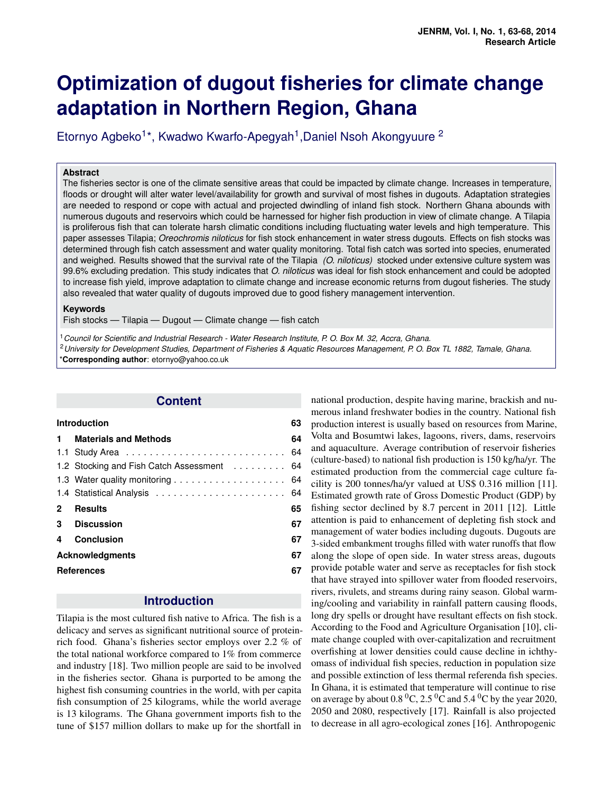# **Optimization of dugout fisheries for climate change adaptation in Northern Region, Ghana**

Etornyo Agbeko<sup>1\*</sup>, Kwadwo Kwarfo-Apegyah<sup>1</sup>, Daniel Nsoh Akongyuure<sup>2</sup>

#### **Abstract**

The fisheries sector is one of the climate sensitive areas that could be impacted by climate change. Increases in temperature, floods or drought will alter water level/availability for growth and survival of most fishes in dugouts. Adaptation strategies are needed to respond or cope with actual and projected dwindling of inland fish stock. Northern Ghana abounds with numerous dugouts and reservoirs which could be harnessed for higher fish production in view of climate change. A Tilapia is proliferous fish that can tolerate harsh climatic conditions including fluctuating water levels and high temperature. This paper assesses Tilapia; *Oreochromis niloticus* for fish stock enhancement in water stress dugouts. Effects on fish stocks was determined through fish catch assessment and water quality monitoring. Total fish catch was sorted into species, enumerated and weighed. Results showed that the survival rate of the Tilapia *(O. niloticus)* stocked under extensive culture system was 99.6% excluding predation. This study indicates that *O. niloticus* was ideal for fish stock enhancement and could be adopted to increase fish yield, improve adaptation to climate change and increase economic returns from dugout fisheries. The study also revealed that water quality of dugouts improved due to good fishery management intervention.

#### **Keywords**

Fish stocks — Tilapia — Dugout — Climate change — fish catch

<sup>1</sup>*Council for Scientific and Industrial Research - Water Research Institute, P. O. Box M. 32, Accra, Ghana.* <sup>2</sup>*University for Development Studies, Department of Fisheries & Aquatic Resources Management, P. O. Box TL 1882, Tamale, Ghana.* \***Corresponding author**: etornyo@yahoo.co.uk

### **Content**

<span id="page-0-0"></span>

|    | <b>Introduction</b>                        | 63 |
|----|--------------------------------------------|----|
| 1. | <b>Materials and Methods</b>               | 64 |
|    |                                            | 64 |
|    | 1.2 Stocking and Fish Catch Assessment  64 |    |
|    |                                            |    |
|    |                                            |    |
| 2  | <b>Results</b>                             | 65 |
|    | 3 Discussion                               | 67 |
| 4  | Conclusion                                 | 67 |
|    | <b>Acknowledgments</b>                     | 67 |
|    | <b>References</b>                          | 67 |

# **Introduction**

Tilapia is the most cultured fish native to Africa. The fish is a delicacy and serves as significant nutritional source of proteinrich food. Ghana's fisheries sector employs over 2.2 % of the total national workforce compared to 1% from commerce and industry [18]. Two million people are said to be involved in the fisheries sector. Ghana is purported to be among the highest fish consuming countries in the world, with per capita fish consumption of 25 kilograms, while the world average is 13 kilograms. The Ghana government imports fish to the tune of \$157 million dollars to make up for the shortfall in national production, despite having marine, brackish and numerous inland freshwater bodies in the country. National fish production interest is usually based on resources from Marine, Volta and Bosumtwi lakes, lagoons, rivers, dams, reservoirs and aquaculture. Average contribution of reservoir fisheries (culture-based) to national fish production is 150 kg/ha/yr. The estimated production from the commercial cage culture facility is 200 tonnes/ha/yr valued at US\$ 0.316 million [11]. Estimated growth rate of Gross Domestic Product (GDP) by fishing sector declined by 8.7 percent in 2011 [12]. Little attention is paid to enhancement of depleting fish stock and management of water bodies including dugouts. Dugouts are 3-sided embankment troughs filled with water runoffs that flow along the slope of open side. In water stress areas, dugouts provide potable water and serve as receptacles for fish stock that have strayed into spillover water from flooded reservoirs, rivers, rivulets, and streams during rainy season. Global warming/cooling and variability in rainfall pattern causing floods, long dry spells or drought have resultant effects on fish stock. According to the Food and Agriculture Organisation [10], climate change coupled with over-capitalization and recruitment overfishing at lower densities could cause decline in ichthyomass of individual fish species, reduction in population size and possible extinction of less thermal referenda fish species. In Ghana, it is estimated that temperature will continue to rise on average by about 0.8  $^{0}C$ , 2.5  $^{0}C$  and 5.4  $^{0}C$  by the year 2020, 2050 and 2080, respectively [17]. Rainfall is also projected to decrease in all agro-ecological zones [16]. Anthropogenic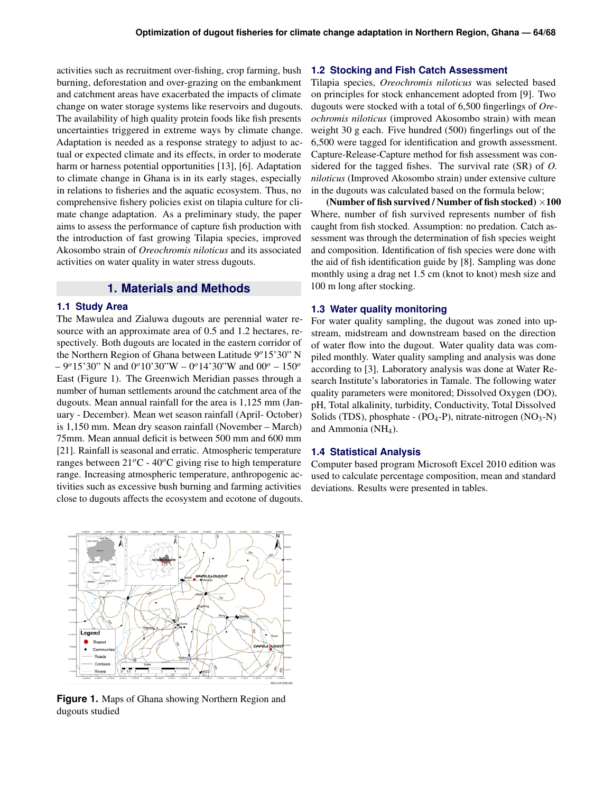activities such as recruitment over-fishing, crop farming, bush burning, deforestation and over-grazing on the embankment and catchment areas have exacerbated the impacts of climate change on water storage systems like reservoirs and dugouts. The availability of high quality protein foods like fish presents uncertainties triggered in extreme ways by climate change. Adaptation is needed as a response strategy to adjust to actual or expected climate and its effects, in order to moderate harm or harness potential opportunities [13], [6]. Adaptation to climate change in Ghana is in its early stages, especially in relations to fisheries and the aquatic ecosystem. Thus, no comprehensive fishery policies exist on tilapia culture for climate change adaptation. As a preliminary study, the paper aims to assess the performance of capture fish production with the introduction of fast growing Tilapia species, improved Akosombo strain of *Oreochromis niloticus* and its associated activities on water quality in water stress dugouts.

## **1. Materials and Methods**

#### <span id="page-1-1"></span><span id="page-1-0"></span>**1.1 Study Area**

The Mawulea and Zialuwa dugouts are perennial water resource with an approximate area of 0.5 and 1.2 hectares, respectively. Both dugouts are located in the eastern corridor of the Northern Region of Ghana between Latitude 9*o*15'30" N – 9*o*15'30" N and 0*o*10'30"W – 0*o*14'30"W and 00*<sup>o</sup>* – 150*<sup>o</sup>* East (Figure 1). The Greenwich Meridian passes through a number of human settlements around the catchment area of the dugouts. Mean annual rainfall for the area is 1,125 mm (January - December). Mean wet season rainfall (April- October) is 1,150 mm. Mean dry season rainfall (November – March) 75mm. Mean annual deficit is between 500 mm and 600 mm [21]. Rainfall is seasonal and erratic. Atmospheric temperature ranges between  $21^{\circ}$ C -  $40^{\circ}$ C giving rise to high temperature range. Increasing atmospheric temperature, anthropogenic activities such as excessive bush burning and farming activities close to dugouts affects the ecosystem and ecotone of dugouts.



**Figure 1.** Maps of Ghana showing Northern Region and dugouts studied

#### <span id="page-1-2"></span>**1.2 Stocking and Fish Catch Assessment**

Tilapia species, *Oreochromis niloticus* was selected based on principles for stock enhancement adopted from [9]. Two dugouts were stocked with a total of 6,500 fingerlings of *Oreochromis niloticus* (improved Akosombo strain) with mean weight 30 g each. Five hundred (500) fingerlings out of the 6,500 were tagged for identification and growth assessment. Capture-Release-Capture method for fish assessment was considered for the tagged fishes. The survival rate (SR) of *O. niloticus* (Improved Akosombo strain) under extensive culture in the dugouts was calculated based on the formula below;

(Number of fish survived / Number of fish stocked)  $\times 100$ Where, number of fish survived represents number of fish caught from fish stocked. Assumption: no predation. Catch assessment was through the determination of fish species weight and composition. Identification of fish species were done with the aid of fish identification guide by [8]. Sampling was done monthly using a drag net 1.5 cm (knot to knot) mesh size and 100 m long after stocking.

#### <span id="page-1-3"></span>**1.3 Water quality monitoring**

For water quality sampling, the dugout was zoned into upstream, midstream and downstream based on the direction of water flow into the dugout. Water quality data was compiled monthly. Water quality sampling and analysis was done according to [3]. Laboratory analysis was done at Water Research Institute's laboratories in Tamale. The following water quality parameters were monitored; Dissolved Oxygen (DO), pH, Total alkalinity, turbidity, Conductivity, Total Dissolved Solids (TDS), phosphate -  $(PO_4-P)$ , nitrate-nitrogen  $(NO_3-N)$ and Ammonia (NH4).

#### <span id="page-1-4"></span>**1.4 Statistical Analysis**

Computer based program Microsoft Excel 2010 edition was used to calculate percentage composition, mean and standard deviations. Results were presented in tables.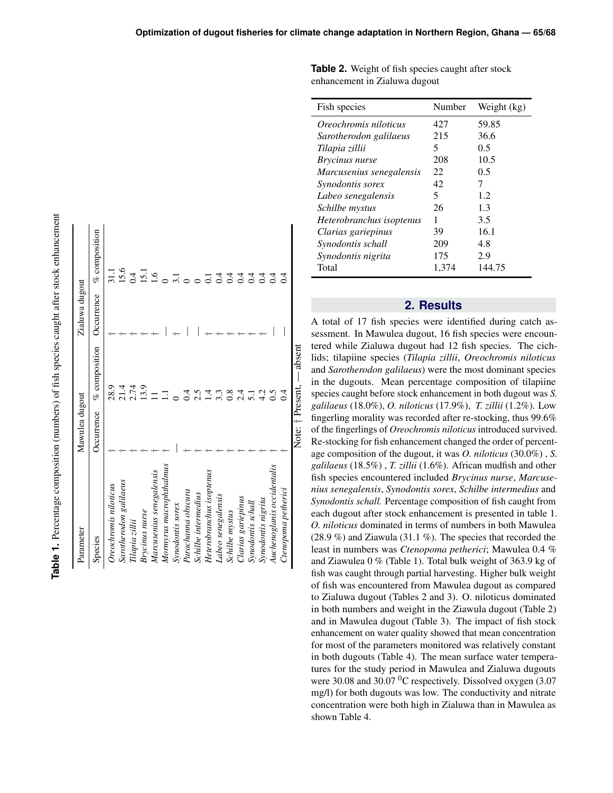| cantage composition (pumpers) of fish species caught after stor enhancement |
|-----------------------------------------------------------------------------|
|                                                                             |
|                                                                             |
|                                                                             |
|                                                                             |
| í                                                                           |
|                                                                             |
| ţ                                                                           |
|                                                                             |
| P. 2011 10. 10. 10.                                                         |
|                                                                             |
|                                                                             |
|                                                                             |
|                                                                             |
|                                                                             |
|                                                                             |
| d                                                                           |
|                                                                             |
|                                                                             |
|                                                                             |
| ;                                                                           |
| I<br>l                                                                      |
|                                                                             |
| r apus                                                                      |
|                                                                             |
| 1                                                                           |

| Parameter                  | Mawulea dugout      |                     | Zialuwa dugout |                  |
|----------------------------|---------------------|---------------------|----------------|------------------|
| Species                    | Occurrence          | $%$ composition     | Occurrence     | $%$ composition  |
| Oreochromis niloticus      |                     | 28.9                |                | $\frac{11}{11}$  |
| Sarotherodon galilaeus     |                     |                     |                | 15.6             |
| Tilapia zillii             |                     | 214<br>2.74<br>13.9 |                | 0.4              |
| <b>Brycinus</b> nurse      |                     |                     |                | 15.1             |
| Marcusenius senegalensis   |                     |                     |                | $\overline{1.6}$ |
| Mormyrus macrophthalmus    |                     | Ē                   |                |                  |
| Synodontis sorex           |                     |                     |                | $\Xi$            |
| Parachanna obscura         |                     | $\dot{=}$           |                |                  |
| Schilbe intermedius        |                     | 2.5                 |                |                  |
| Heterobranchus isoptenus   |                     | 14.3                |                | Ξ                |
| Labeo senegalensis         |                     |                     |                | $\Xi$            |
| Schilbe mystus             |                     | 0.8                 |                | $\overline{c}$   |
| Clarias gariepinus         |                     | $2\cdot$            |                | $\overline{0.4}$ |
| Synodontis schall          |                     | 5.1                 |                | $\dot{1}$        |
| Synodontis nigrita         |                     | 4.2                 |                | 0.4              |
| Auchenoglanis occidentalis |                     | 0.5                 |                | $\overline{0.4}$ |
| Ctenopoma petherici        |                     |                     |                | $\overline{0}$   |
|                            | Note: † Present, -- | absent              |                |                  |

**Table 2.** Weight of fish species caught after stock enhancement in Zialuwa dugout

| Fish species             | Number | Weight (kg) |
|--------------------------|--------|-------------|
| Oreochromis niloticus    | 427    | 59.85       |
| Sarotherodon galilaeus   | 215    | 36.6        |
| Tilapia zillii           | 5      | 0.5         |
| Brycinus nurse           | 208    | 10.5        |
| Marcusenius senegalensis | 22     | 0.5         |
| Synodontis sorex         | 42     | 7           |
| Labeo senegalensis       | 5      | 1.2.        |
| Schilbe mystus           | 26     | 1.3         |
| Heterobranchus isoptenus | 1      | 3.5         |
| Clarias gariepinus       | 39     | 16.1        |
| Synodontis schall        | 209    | 4.8         |
| Synodontis nigrita       | 175    | 2.9         |
| Total                    | 1,374  | 144.75      |

## **2. Results**

<span id="page-2-0"></span>A total of 17 fish species were identified during catch assessment. In Mawulea dugout, 16 fish species were encountered while Zialuwa dugout had 12 fish species. The cichlids; tilapiine species (*Tilapia zillii*, *Oreochromis niloticus* and *Sarotherodon galilaeus*) were the most dominant species in the dugouts. Mean percentage composition of tilapiine species caught before stock enhancement in both dugout was *S. galilaeus* (18.0%), *O. niloticus* (17.9%), *T. zillii* (1.2%). Low fingerling morality was recorded after re-stocking, thus 99.6% of the fingerlings of *Oreochromis niloticus* introduced survived. Re-stocking for fish enhancement changed the order of percentage composition of the dugout, it was *O. niloticus* (30.0%) , *S. galilaeus* (18.5%) , *T. zillii* (1.6%). African mudfish and other fish species encountered included *Brycinus nurse*, *Marcusenius senegalensis*, *Synodontis sorex*, *Schilbe intermedius* and *Synodontis schall.* Percentage composition of fish caught from each dugout after stock enhancement is presented in table 1. *O. niloticus* dominated in terms of numbers in both Mawulea (28.9 %) and Ziawula (31.1 %). The species that recorded the least in numbers was *Ctenopoma petherici*; Mawulea 0.4 % and Ziawulea 0 % (Table 1). Total bulk weight of 363.9 kg of fish was caught through partial harvesting. Higher bulk weight of fish was encountered from Mawulea dugout as compared to Zialuwa dugout (Tables 2 and 3). O. niloticus dominated in both numbers and weight in the Ziawula dugout (Table 2) and in Mawulea dugout (Table 3). The impact of fish stock enhancement on water quality showed that mean concentration for most of the parameters monitored was relatively constant in both dugouts (Table 4). The mean surface water temperatures for the study period in Mawulea and Zialuwa dugouts were 30.08 and 30.07 <sup>0</sup>C respectively. Dissolved oxygen (3.07 mg/l) for both dugouts was low. The conductivity and nitrate concentration were both high in Zialuwa than in Mawulea as shown Table 4.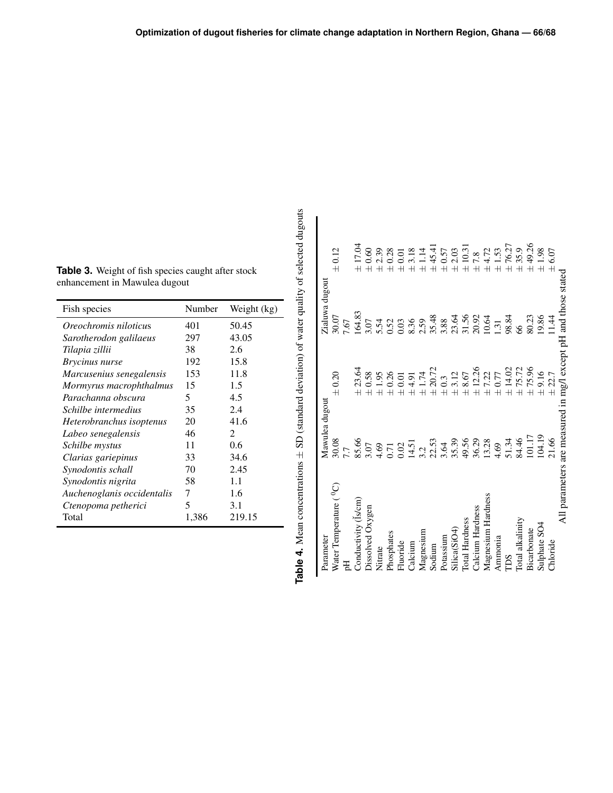| Fish species               | Number | Weight (kg)    |
|----------------------------|--------|----------------|
| Oreochromis niloticus      | 401    | 50.45          |
| Sarotherodon galilaeus     | 297    | 43.05          |
| Tilapia zillii             | 38     | 2.6            |
| <i>Brycinus nurse</i>      | 192    | 15.8           |
| Marcusenius senegalensis   | 153    | 11.8           |
| Mormyrus macrophthalmus    | 15     | 1.5            |
| Parachanna obscura         | 5      | 4.5            |
| Schilbe intermedius        | 35     | 2.4            |
| Heterobranchus isoptenus   | 20     | 41.6           |
| Labeo senegalensis         | 46     | $\mathfrak{D}$ |
| Schilbe mystus             | 11     | 0.6            |
| Clarias gariepinus         | 33     | 34.6           |
| Synodontis schall          | 70     | 2.45           |
| Synodontis nigrita         | 58     | 1.1            |
| Auchenoglanis occidentalis | 7      | 1.6            |
| Ctenopoma petherici        | 5      | 3.1            |
| Total                      | 1,386  | 219.15         |

| こうち ちり                                                   |
|----------------------------------------------------------|
|                                                          |
|                                                          |
| $5 - 5$                                                  |
| ・・・・・                                                    |
| きゅうしょう きょうきょう きょう こうりょう<br>I                             |
| $\ddot{\phantom{0}}$                                     |
|                                                          |
|                                                          |
|                                                          |
|                                                          |
| .<br>Catalog                                             |
|                                                          |
|                                                          |
| י<br>ג∫                                                  |
|                                                          |
|                                                          |
|                                                          |
|                                                          |
|                                                          |
| $\sim$ and $\sim$ and $\sim$ $\sim$ $\sim$ $\sim$ $\sim$ |
|                                                          |
| $\overline{\phantom{a}}$                                 |
|                                                          |
| j                                                        |

| Parameter                                | Mawulea dugout                                                               |                                                                     | Zialuwa dugout                                                     |                                                        |
|------------------------------------------|------------------------------------------------------------------------------|---------------------------------------------------------------------|--------------------------------------------------------------------|--------------------------------------------------------|
| Water Temperature ( <sup>0</sup> C)<br>핑 | 30.08<br>7.7                                                                 | $\pm 0.20$                                                          | 30.07<br>7.67                                                      | $\pm 0.12$                                             |
| Conductivity (Is/cm)                     | 85.66                                                                        | 23.64                                                               | 164.83                                                             | 17.04<br>$\overline{+}$                                |
| Dissolved Oxygen                         | 3.07                                                                         | 0.58                                                                | 3.07                                                               | 0.60<br>$\bar{+}$                                      |
| Nitrate                                  |                                                                              |                                                                     |                                                                    | 2.39                                                   |
| Phosphates                               | $4.69$<br>$0.71$<br>$0.02$<br>$14.51$<br>$3.2$<br>$3.64$<br>$3.63$<br>$3.39$ | $1.95$<br>0.26                                                      | $5.52$<br>$6.53$<br>$6.53$<br>$6.53$<br>$6.53$<br>$6.53$<br>$6.53$ | 0.28                                                   |
| Fluoride                                 |                                                                              |                                                                     |                                                                    |                                                        |
| Calcium                                  |                                                                              | $\begin{array}{c} 0.01 \\ 4.91 \\ 1.74 \\ 20.72 \\ 0.3 \end{array}$ |                                                                    | $\begin{array}{l} +0.01 \\ +3.18 \\ +1.14 \end{array}$ |
| Magnesium                                |                                                                              | $\overline{+}$                                                      |                                                                    |                                                        |
| Sodium                                   |                                                                              |                                                                     |                                                                    | ± 45.41                                                |
| Potassium                                |                                                                              | $\overline{+}$                                                      | 3.88                                                               | $\pm$ 0.57                                             |
| Silica(SiO4)                             |                                                                              | $\overline{+}$                                                      |                                                                    | $\pm\,2.03$                                            |
| <b>Total Hardness</b>                    | 49.56                                                                        | $\begin{array}{c} 3.12 \\ 8.67 \end{array}$                         |                                                                    | $\pm$ 10.31                                            |
| Calcium Hardness                         | 36.29<br>13.28                                                               | 12.26                                                               | 3.56<br>3.56<br>20.91<br>20.64                                     | $\pm$ 7.8                                              |
| Magnesium Hardness                       |                                                                              | 7.22                                                                |                                                                    | $\pm 4.72$                                             |
| Ammonia                                  | 4.69                                                                         | 0.77<br>$\overline{+}$                                              |                                                                    | $\pm\,1.53$                                            |
| ms                                       |                                                                              | 14.02<br>$\overline{+}$                                             | 1.31<br>98.84                                                      | ±76.27                                                 |
| Total alkalinity                         | 51.34<br>84.46                                                               | 75.72                                                               | 66                                                                 | ± 35.9                                                 |
| Bicarbonate                              | 101.17                                                                       | 75.96                                                               | 80.23                                                              | ± 49.26                                                |
| Sulphate SO4                             | 104.19                                                                       | $\pm$ 9.16                                                          | 19.86                                                              | ±1.98                                                  |
| Chloride                                 | 21.66                                                                        | 22.7                                                                | 11.44                                                              | 6.07                                                   |
|                                          |                                                                              |                                                                     | All parameters are measured in mg/l except pH and those stated     |                                                        |

Table 3. Weight of fish species caught after stock enhancement in Mawulea dugout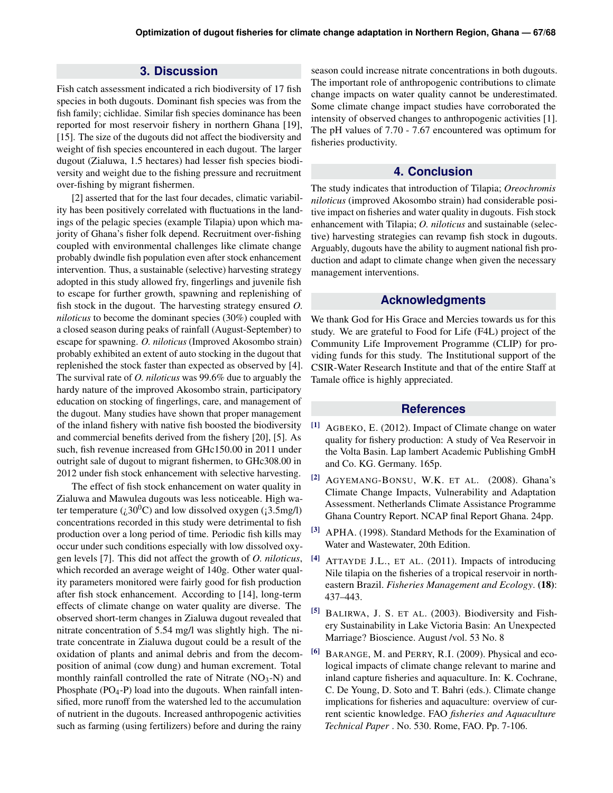## **3. Discussion**

<span id="page-4-0"></span>Fish catch assessment indicated a rich biodiversity of 17 fish species in both dugouts. Dominant fish species was from the fish family; cichlidae. Similar fish species dominance has been reported for most reservoir fishery in northern Ghana [19], [15]. The size of the dugouts did not affect the biodiversity and weight of fish species encountered in each dugout. The larger dugout (Zialuwa, 1.5 hectares) had lesser fish species biodiversity and weight due to the fishing pressure and recruitment over-fishing by migrant fishermen.

[2] asserted that for the last four decades, climatic variability has been positively correlated with fluctuations in the landings of the pelagic species (example Tilapia) upon which majority of Ghana's fisher folk depend. Recruitment over-fishing coupled with environmental challenges like climate change probably dwindle fish population even after stock enhancement intervention. Thus, a sustainable (selective) harvesting strategy adopted in this study allowed fry, fingerlings and juvenile fish to escape for further growth, spawning and replenishing of fish stock in the dugout. The harvesting strategy ensured *O. niloticus* to become the dominant species (30%) coupled with a closed season during peaks of rainfall (August-September) to escape for spawning. *O. niloticus* (Improved Akosombo strain) probably exhibited an extent of auto stocking in the dugout that replenished the stock faster than expected as observed by [4]. The survival rate of *O. niloticus* was 99.6% due to arguably the hardy nature of the improved Akosombo strain, participatory education on stocking of fingerlings, care, and management of the dugout. Many studies have shown that proper management of the inland fishery with native fish boosted the biodiversity and commercial benefits derived from the fishery [20], [5]. As such, fish revenue increased from GHc150.00 in 2011 under outright sale of dugout to migrant fishermen, to GHc308.00 in 2012 under fish stock enhancement with selective harvesting.

The effect of fish stock enhancement on water quality in Zialuwa and Mawulea dugouts was less noticeable. High water temperature  $(i,30^0C)$  and low dissolved oxygen ( $(3.5mg/l)$ ) concentrations recorded in this study were detrimental to fish production over a long period of time. Periodic fish kills may occur under such conditions especially with low dissolved oxygen levels [7]. This did not affect the growth of *O. niloticus*, which recorded an average weight of 140g. Other water quality parameters monitored were fairly good for fish production after fish stock enhancement. According to [14], long-term effects of climate change on water quality are diverse. The observed short-term changes in Zialuwa dugout revealed that nitrate concentration of 5.54 mg/l was slightly high. The nitrate concentrate in Zialuwa dugout could be a result of the oxidation of plants and animal debris and from the decomposition of animal (cow dung) and human excrement. Total monthly rainfall controlled the rate of Nitrate  $(NO<sub>3</sub>-N)$  and Phosphate  $(PO_4-P)$  load into the dugouts. When rainfall intensified, more runoff from the watershed led to the accumulation of nutrient in the dugouts. Increased anthropogenic activities such as farming (using fertilizers) before and during the rainy

season could increase nitrate concentrations in both dugouts. The important role of anthropogenic contributions to climate change impacts on water quality cannot be underestimated. Some climate change impact studies have corroborated the intensity of observed changes to anthropogenic activities [1]. The pH values of 7.70 - 7.67 encountered was optimum for fisheries productivity.

## **4. Conclusion**

<span id="page-4-1"></span>The study indicates that introduction of Tilapia; *Oreochromis niloticus* (improved Akosombo strain) had considerable positive impact on fisheries and water quality in dugouts. Fish stock enhancement with Tilapia; *O. niloticus* and sustainable (selective) harvesting strategies can revamp fish stock in dugouts. Arguably, dugouts have the ability to augment national fish production and adapt to climate change when given the necessary management interventions.

#### **Acknowledgments**

We thank God for His Grace and Mercies towards us for this study. We are grateful to Food for Life (F4L) project of the Community Life Improvement Programme (CLIP) for providing funds for this study. The Institutional support of the CSIR-Water Research Institute and that of the entire Staff at Tamale office is highly appreciated.

## **References**

- [1] AGBEKO, E. (2012). Impact of Climate change on water quality for fishery production: A study of Vea Reservoir in the Volta Basin. Lap lambert Academic Publishing GmbH and Co. KG. Germany. 165p.
- [2] AGYEMANG-BONSU, W.K. ET AL. (2008). Ghana's Climate Change Impacts, Vulnerability and Adaptation Assessment. Netherlands Climate Assistance Programme Ghana Country Report. NCAP final Report Ghana. 24pp.
- [3] APHA. (1998). Standard Methods for the Examination of Water and Wastewater, 20th Edition.
- [4] ATTAYDE J.L., ET AL. (2011). Impacts of introducing Nile tilapia on the fisheries of a tropical reservoir in northeastern Brazil. *Fisheries Management and Ecology*. (18): 437–443.
- [5] BALIRWA, J. S. ET AL. (2003). Biodiversity and Fishery Sustainability in Lake Victoria Basin: An Unexpected Marriage? Bioscience. August /vol. 53 No. 8
- [6] BARANGE, M. and PERRY, R.I. (2009). Physical and ecological impacts of climate change relevant to marine and inland capture fisheries and aquaculture. In: K. Cochrane, C. De Young, D. Soto and T. Bahri (eds.). Climate change implications for fisheries and aquaculture: overview of current scientic knowledge. FAO *fisheries and Aquaculture Technical Paper* . No. 530. Rome, FAO. Pp. 7-106.